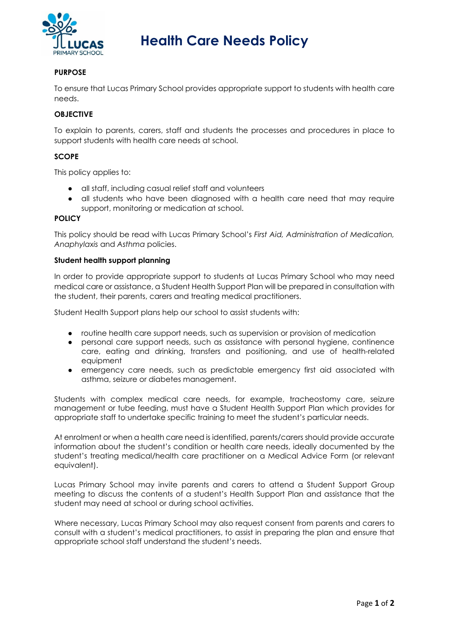

# **Health Care Needs Policy**

## **PURPOSE**

To ensure that Lucas Primary School provides appropriate support to students with health care needs.

## **OBJECTIVE**

To explain to parents, carers, staff and students the processes and procedures in place to support students with health care needs at school.

### **SCOPE**

This policy applies to:

- all staff, including casual relief staff and volunteers
- all students who have been diagnosed with a health care need that may require support, monitoring or medication at school.

#### **POLICY**

This policy should be read with Lucas Primary School's *First Aid, Administration of Medication, Anaphylaxis* and *Asthma* policies.

#### **Student health support planning**

In order to provide appropriate support to students at Lucas Primary School who may need medical care or assistance, a Student Health Support Plan will be prepared in consultation with the student, their parents, carers and treating medical practitioners.

Student Health Support plans help our school to assist students with:

- routine health care support needs, such as supervision or provision of medication
- personal care support needs, such as assistance with personal hygiene, continence care, eating and drinking, transfers and positioning, and use of health-related equipment
- emergency care needs, such as predictable emergency first aid associated with asthma, seizure or diabetes management.

Students with complex medical care needs, for example, tracheostomy care, seizure management or tube feeding, must have a Student Health Support Plan which provides for appropriate staff to undertake specific training to meet the student's particular needs.

At enrolment or when a health care need is identified, parents/carers should provide accurate information about the student's condition or health care needs, ideally documented by the student's treating medical/health care practitioner on a Medical Advice Form (or relevant equivalent).

Lucas Primary School may invite parents and carers to attend a Student Support Group meeting to discuss the contents of a student's Health Support Plan and assistance that the student may need at school or during school activities.

Where necessary, Lucas Primary School may also request consent from parents and carers to consult with a student's medical practitioners, to assist in preparing the plan and ensure that appropriate school staff understand the student's needs.